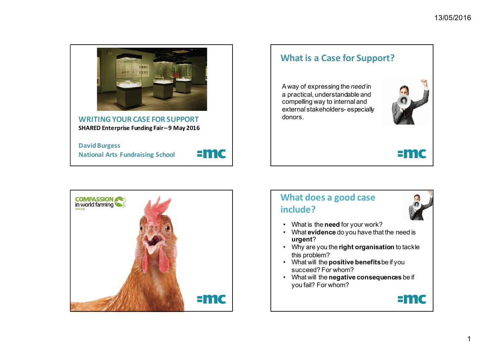

**WRITING YOUR CASE FOR SUPPORT** SHARED Enterprise Funding Fair-9 May 2016

**David Burgess National Arts Fundraising School** 



#### **What is a Case for Support?**

A way of expressing the *need* in a practical, understandable and compelling way to internal and external stakeholders- especially donors.



# $=$ mc



# **What does a good case include?**



- What is the **need** for your work?
- What **evidence** do you have that the need is **urgent**?
- Why are you the **right organisation** to tackle this problem?
- What will the **positive benefits** be if you succeed? For whom?
- What will the **negative consequences** be if you fail? For whom?

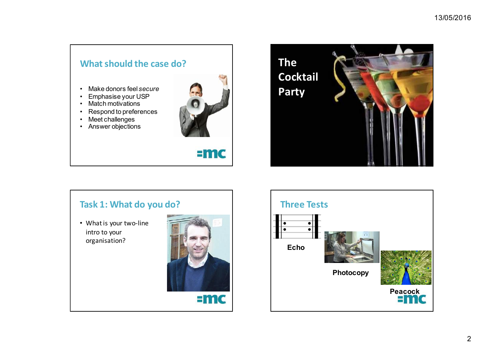# **What should the case do?**

- Make donors feel *secure*
- Emphasise your USP
- Match motivations
- Respond to preferences
- Meet challenges
- Answer objections



# $=$ mc



## Task 1: What do you do?

• What is your two-line intro to your organisation?



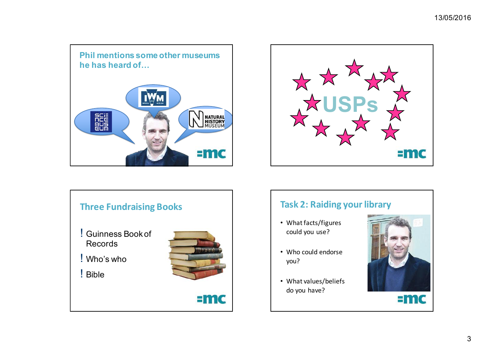





## **Task 2: Raiding your library**

- What facts/figures could you use?
- Who could endorse you?
- What values/beliefs do you have?

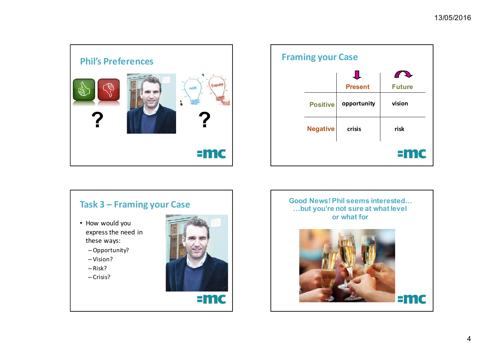





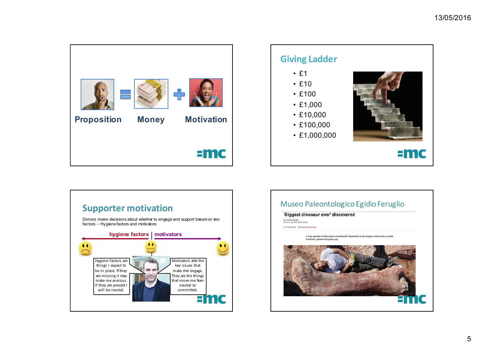



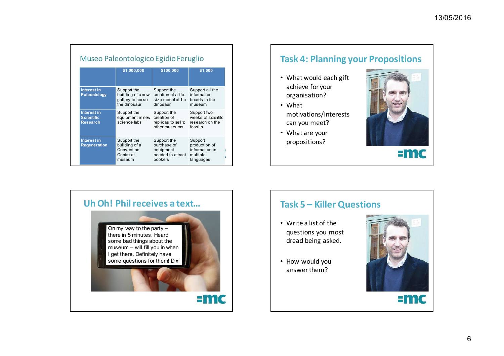| Museo Paleontologico Egidio Feruglio                |                                                                      |                                                                         |                                                                     |
|-----------------------------------------------------|----------------------------------------------------------------------|-------------------------------------------------------------------------|---------------------------------------------------------------------|
|                                                     | \$1,000,000                                                          | \$100,000                                                               | \$1,000                                                             |
| <b>Interest in</b><br><b>Paleontology</b>           | Support the<br>building of a new<br>gallery to house<br>the dinosaur | Support the<br>creation of a life-<br>size model of the<br>dinosaur     | Support all the<br>information<br>boards in the<br>museum           |
| Interest in<br><b>Scientific</b><br><b>Research</b> | Support the<br>equipment in new<br>science labs                      | Support the<br>creation of<br>replicas to sell to<br>other museums      | Support two<br>weeks of scientific<br>research on the<br>fossils    |
| <b>Interest in</b><br><b>Regeneration</b>           | Support the<br>building of a<br>Convention<br>Centre at<br>museum    | Support the<br>purchase of<br>equipment<br>needed to attract<br>bookers | Support<br>production of<br>information in<br>multiple<br>languages |

## **Task 4: Planning your Propositions**

- What would each gift achieve for your organisation?
- What motivations/interests can you meet?
- What are your propositions?







#### **Task 5 – Killer Questions**

- Write a list of the questions you most dread being asked.
- How would you answer them?